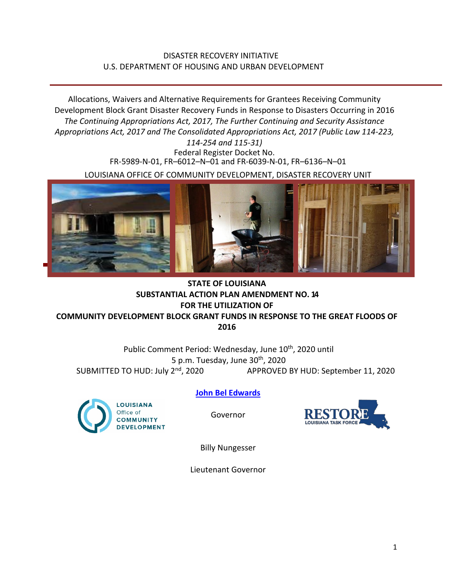## DISASTER RECOVERY INITIATIVE U.S. DEPARTMENT OF HOUSING AND URBAN DEVELOPMENT

Allocations, Waivers and Alternative Requirements for Grantees Receiving Community Development Block Grant Disaster Recovery Funds in Response to Disasters Occurring in 2016 *The Continuing Appropriations Act, 2017, The Further Continuing and Security Assistance Appropriations Act, 2017 and The Consolidated Appropriations Act, 2017 (Public Law 114-223,* 

> *114-254 and 115-31)* Federal Register Docket No. FR-5989-N-01, FR–6012–N–01 and FR-6039-N-01, FR–6136–N–01

LOUISIANA OFFICE OF COMMUNITY DEVELOPMENT, DISASTER RECOVERY UNIT



# **STATE OF LOUISIANA SUBSTANTIAL ACTION PLAN AMENDMENT NO. 14 FOR THE UTILIZATION OF**

**COMMUNITY DEVELOPMENT BLOCK GRANT FUNDS IN RESPONSE TO THE GREAT FLOODS OF 2016**

Public Comment Period: Wednesday, June 10<sup>th</sup>, 2020 until 5 p.m. Tuesday, June  $30<sup>th</sup>$ , 2020 SUBMITTED TO HUD: July 2<sup>nd</sup>, 2020 APPROVED BY HUD: September 11, 2020



**[John Bel Edwards](https://www.facebook.com/LouisianaGov/)**

Governor



Billy Nungesser

Lieutenant Governor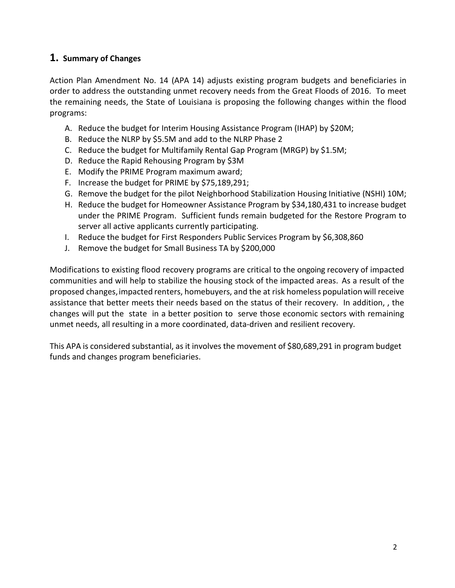# **1. Summary of Changes**

Action Plan Amendment No. 14 (APA 14) adjusts existing program budgets and beneficiaries in order to address the outstanding unmet recovery needs from the Great Floods of 2016. To meet the remaining needs, the State of Louisiana is proposing the following changes within the flood programs:

- A. Reduce the budget for Interim Housing Assistance Program (IHAP) by \$20M;
- B. Reduce the NLRP by \$5.5M and add to the NLRP Phase 2
- C. Reduce the budget for Multifamily Rental Gap Program (MRGP) by \$1.5M;
- D. Reduce the Rapid Rehousing Program by \$3M
- E. Modify the PRIME Program maximum award;
- F. Increase the budget for PRIME by \$75,189,291;
- G. Remove the budget for the pilot Neighborhood Stabilization Housing Initiative (NSHI) 10M;
- H. Reduce the budget for Homeowner Assistance Program by \$34,180,431 to increase budget under the PRIME Program. Sufficient funds remain budgeted for the Restore Program to server all active applicants currently participating.
- I. Reduce the budget for First Responders Public Services Program by \$6,308,860
- J. Remove the budget for Small Business TA by \$200,000

Modifications to existing flood recovery programs are critical to the ongoing recovery of impacted communities and will help to stabilize the housing stock of the impacted areas. As a result of the proposed changes, impacted renters, homebuyers, and the at risk homeless population will receive assistance that better meets their needs based on the status of their recovery. In addition, , the changes will put the state in a better position to serve those economic sectors with remaining unmet needs, all resulting in a more coordinated, data-driven and resilient recovery.

This APA is considered substantial, as it involves the movement of \$80,689,291 in program budget funds and changes program beneficiaries.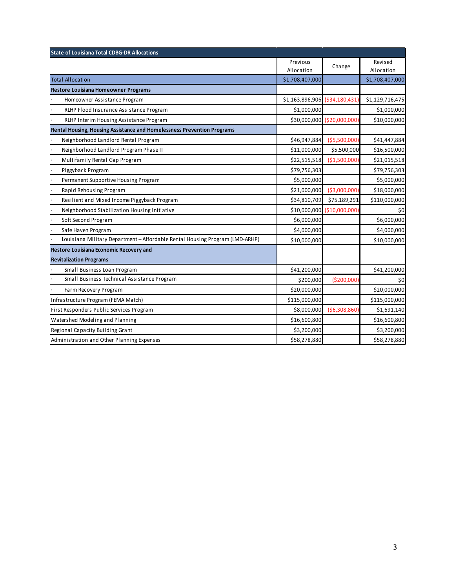| <b>State of Louisiana Total CDBG-DR Allocations</b>                          |                                |                             |                       |
|------------------------------------------------------------------------------|--------------------------------|-----------------------------|-----------------------|
|                                                                              | Previous<br>Allocation         | Change                      | Revised<br>Allocation |
| <b>Total Allocation</b>                                                      | \$1,708,407,000                |                             | \$1,708,407,000       |
| <b>Restore Louisiana Homeowner Programs</b>                                  |                                |                             |                       |
| Homeowner Assistance Program                                                 | \$1,163,896,906 (\$34,180,431) |                             | \$1,129,716,475       |
| RLHP Flood Insurance Assistance Program                                      | \$1,000,000                    |                             | \$1,000,000           |
| RLHP Interim Housing Assistance Program                                      |                                | \$30,000,000 (\$20,000,000) | \$10,000,000          |
| Rental Housing, Housing Assistance and Homelessness Prevention Programs      |                                |                             |                       |
| Neighborhood Landlord Rental Program                                         | \$46,947,884                   | ( \$5,500,000)              | \$41,447,884          |
| Neighborhood Landlord Program Phase II                                       | \$11,000,000                   | \$5,500,000                 | \$16,500,000          |
| Multifamily Rental Gap Program                                               | \$22,515,518                   | (\$1,500,000)               | \$21,015,518          |
| Piggyback Program                                                            | \$79,756,303                   |                             | \$79,756,303          |
| Permanent Supportive Housing Program                                         | \$5,000,000                    |                             | \$5,000,000           |
| Rapid Rehousing Program                                                      | \$21,000,000                   | ( \$3,000,000)              | \$18,000,000          |
| Resilient and Mixed Income Piggyback Program                                 | \$34,810,709                   | \$75,189,291                | \$110,000,000         |
| Neighborhood Stabilization Housing Initiative                                |                                | \$10,000,000 (\$10,000,000) | \$0                   |
| Soft Second Program                                                          | \$6,000,000                    |                             | \$6,000,000           |
| Safe Haven Program                                                           | \$4,000,000                    |                             | \$4,000,000           |
| Louisiana Military Department - Affordable Rental Housing Program (LMD-ARHP) | \$10,000,000                   |                             | \$10,000,000          |
| Restore Louisiana Economic Recovery and                                      |                                |                             |                       |
| <b>Revitalization Programs</b>                                               |                                |                             |                       |
| Small Business Loan Program                                                  | \$41,200,000                   |                             | \$41,200,000          |
| Small Business Technical Assistance Program                                  | \$200,000                      | ( \$200,000]                | \$0                   |
| Farm Recovery Program                                                        | \$20,000,000                   |                             | \$20,000,000          |
| Infrastructure Program (FEMA Match)                                          | \$115,000,000                  |                             | \$115,000,000         |
| First Responders Public Services Program                                     | \$8,000,000                    | ( \$6,308,860)              | \$1,691,140           |
| Watershed Modeling and Planning                                              | \$16,600,800                   |                             | \$16,600,800          |
| Regional Capacity Building Grant                                             | \$3,200,000                    |                             | \$3,200,000           |
| Administration and Other Planning Expenses                                   | \$58,278,880                   |                             | \$58,278,880          |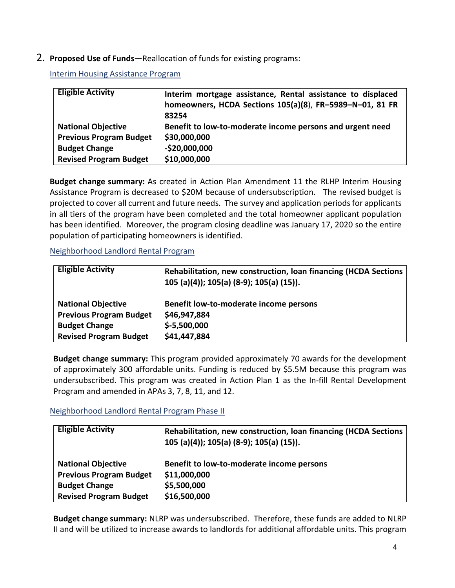### 2. **Proposed Use of Funds—**Reallocation of funds for existing programs:

Interim Housing Assistance Program

| <b>Eligible Activity</b>       | Interim mortgage assistance, Rental assistance to displaced |
|--------------------------------|-------------------------------------------------------------|
|                                | homeowners, HCDA Sections 105(a)(8), FR-5989-N-01, 81 FR    |
|                                | 83254                                                       |
| <b>National Objective</b>      | Benefit to low-to-moderate income persons and urgent need   |
| <b>Previous Program Budget</b> | \$30,000,000                                                |
| <b>Budget Change</b>           | $-$20,000,000$                                              |
| <b>Revised Program Budget</b>  | \$10,000,000                                                |

**Budget change summary:** As created in Action Plan Amendment 11 the RLHP Interim Housing Assistance Program is decreased to \$20M because of undersubscription. The revised budget is projected to cover all current and future needs. The survey and application periods for applicants in all tiers of the program have been completed and the total homeowner applicant population has been identified. Moreover, the program closing deadline was January 17, 2020 so the entire population of participating homeowners is identified.

Neighborhood Landlord Rental Program

| <b>Eligible Activity</b>       | Rehabilitation, new construction, loan financing (HCDA Sections<br>105 (a)(4)); 105(a) (8-9); 105(a) (15)). |
|--------------------------------|-------------------------------------------------------------------------------------------------------------|
| <b>National Objective</b>      | Benefit low-to-moderate income persons                                                                      |
| <b>Previous Program Budget</b> | \$46,947,884                                                                                                |
| <b>Budget Change</b>           | $$-5,500,000$                                                                                               |
| <b>Revised Program Budget</b>  | \$41,447,884                                                                                                |

**Budget change summary:** This program provided approximately 70 awards for the development of approximately 300 affordable units. Funding is reduced by \$5.5M because this program was undersubscribed. This program was created in Action Plan 1 as the In-fill Rental Development Program and amended in APAs 3, 7, 8, 11, and 12.

Neighborhood Landlord Rental Program Phase II

| <b>Eligible Activity</b>       | Rehabilitation, new construction, loan financing (HCDA Sections<br>105 (a)(4)); 105(a) (8-9); 105(a) (15)). |
|--------------------------------|-------------------------------------------------------------------------------------------------------------|
| <b>National Objective</b>      | Benefit to low-to-moderate income persons                                                                   |
| <b>Previous Program Budget</b> | \$11,000,000                                                                                                |
| <b>Budget Change</b>           | \$5,500,000                                                                                                 |
| <b>Revised Program Budget</b>  | \$16,500,000                                                                                                |

**Budget change summary:** NLRP was undersubscribed. Therefore, these funds are added to NLRP II and will be utilized to increase awards to landlords for additional affordable units. This program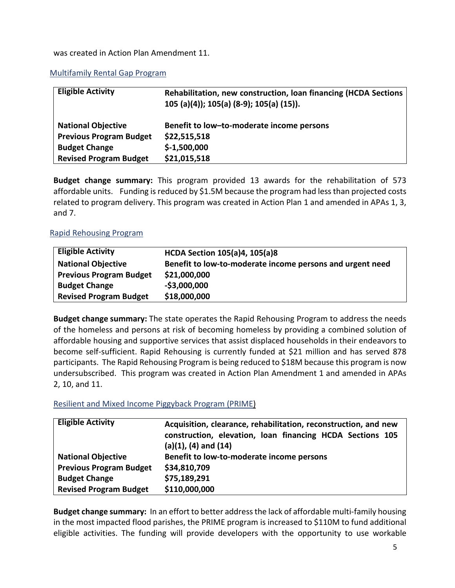#### was created in Action Plan Amendment 11.

#### Multifamily Rental Gap Program

| <b>Eligible Activity</b>       | Rehabilitation, new construction, loan financing (HCDA Sections<br>105 (a)(4)); 105(a) (8-9); 105(a) (15)). |
|--------------------------------|-------------------------------------------------------------------------------------------------------------|
| <b>National Objective</b>      | Benefit to low-to-moderate income persons                                                                   |
| <b>Previous Program Budget</b> | \$22,515,518                                                                                                |
| <b>Budget Change</b>           | $$-1,500,000$                                                                                               |
| <b>Revised Program Budget</b>  | \$21,015,518                                                                                                |

**Budget change summary:** This program provided 13 awards for the rehabilitation of 573 affordable units. Funding is reduced by \$1.5M because the program had less than projected costs related to program delivery. This program was created in Action Plan 1 and amended in APAs 1, 3, and 7.

#### Rapid Rehousing Program

| <b>Eligible Activity</b>       | <b>HCDA Section 105(a)4, 105(a)8</b>                      |
|--------------------------------|-----------------------------------------------------------|
| <b>National Objective</b>      | Benefit to low-to-moderate income persons and urgent need |
| <b>Previous Program Budget</b> | \$21,000,000                                              |
| <b>Budget Change</b>           | $-$3,000,000$                                             |
| <b>Revised Program Budget</b>  | \$18,000,000                                              |

**Budget change summary:** The state operates the Rapid Rehousing Program to address the needs of the homeless and persons at risk of becoming homeless by providing a combined solution of affordable housing and supportive services that assist displaced households in their endeavors to become self-sufficient. Rapid Rehousing is currently funded at \$21 million and has served 878 participants. The Rapid Rehousing Program is being reduced to \$18M because this program is now undersubscribed. This program was created in Action Plan Amendment 1 and amended in APAs 2, 10, and 11.

#### Resilient and Mixed Income Piggyback Program (PRIME)

| <b>Eligible Activity</b>       | Acquisition, clearance, rehabilitation, reconstruction, and new<br>construction, elevation, loan financing HCDA Sections 105<br>$(a)(1), (4)$ and $(14)$ |
|--------------------------------|----------------------------------------------------------------------------------------------------------------------------------------------------------|
| <b>National Objective</b>      | Benefit to low-to-moderate income persons                                                                                                                |
| <b>Previous Program Budget</b> | \$34,810,709                                                                                                                                             |
| <b>Budget Change</b>           | \$75,189,291                                                                                                                                             |
| <b>Revised Program Budget</b>  | \$110,000,000                                                                                                                                            |

**Budget change summary:** In an effort to better address the lack of affordable multi-family housing in the most impacted flood parishes, the PRIME program is increased to \$110M to fund additional eligible activities. The funding will provide developers with the opportunity to use workable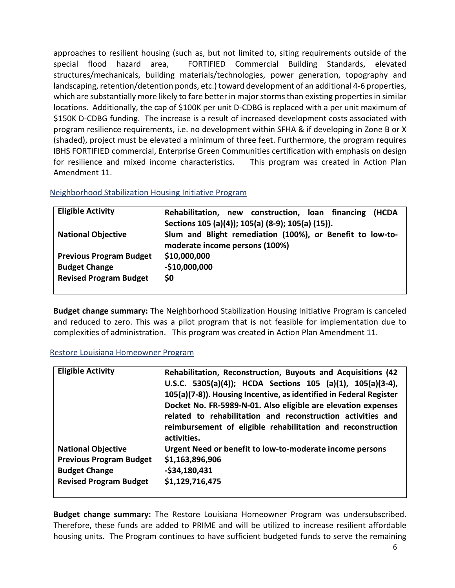approaches to resilient housing (such as, but not limited to, siting requirements outside of the special flood hazard area, FORTIFIED Commercial Building Standards, elevated structures/mechanicals, building materials/technologies, power generation, topography and landscaping, retention/detention ponds, etc.) toward development of an additional 4-6 properties, which are substantially more likely to fare better in major storms than existing properties in similar locations. Additionally, the cap of \$100K per unit D-CDBG is replaced with a per unit maximum of \$150K D-CDBG funding. The increase is a result of increased development costs associated with program resilience requirements, i.e. no development within SFHA & if developing in Zone B or X (shaded), project must be elevated a minimum of three feet. Furthermore, the program requires IBHS FORTIFIED commercial, Enterprise Green Communities certification with emphasis on design for resilience and mixed income characteristics. This program was created in Action Plan Amendment 11.

| Neighborhood Stabilization Housing Initiative Program |  |
|-------------------------------------------------------|--|
|-------------------------------------------------------|--|

| <b>Eligible Activity</b>       | Rehabilitation, new construction, loan financing<br>(HCDA |
|--------------------------------|-----------------------------------------------------------|
|                                | Sections 105 (a)(4)); 105(a) (8-9); 105(a) (15)).         |
| <b>National Objective</b>      | Slum and Blight remediation (100%), or Benefit to low-to- |
|                                | moderate income persons (100%)                            |
| <b>Previous Program Budget</b> | \$10,000,000                                              |
| <b>Budget Change</b>           | $-$10,000,000$                                            |
| <b>Revised Program Budget</b>  | \$0                                                       |
|                                |                                                           |

**Budget change summary:** The Neighborhood Stabilization Housing Initiative Program is canceled and reduced to zero. This was a pilot program that is not feasible for implementation due to complexities of administration. This program was created in Action Plan Amendment 11.

#### Restore Louisiana Homeowner Program

| <b>Eligible Activity</b>       | Rehabilitation, Reconstruction, Buyouts and Acquisitions (42<br>U.S.C. 5305(a)(4)); HCDA Sections 105 (a)(1), 105(a)(3-4),<br>105(a)(7-8)). Housing Incentive, as identified in Federal Register<br>Docket No. FR-5989-N-01. Also eligible are elevation expenses<br>related to rehabilitation and reconstruction activities and<br>reimbursement of eligible rehabilitation and reconstruction<br>activities. |
|--------------------------------|----------------------------------------------------------------------------------------------------------------------------------------------------------------------------------------------------------------------------------------------------------------------------------------------------------------------------------------------------------------------------------------------------------------|
| <b>National Objective</b>      | Urgent Need or benefit to low-to-moderate income persons                                                                                                                                                                                                                                                                                                                                                       |
| <b>Previous Program Budget</b> | \$1,163,896,906                                                                                                                                                                                                                                                                                                                                                                                                |
| <b>Budget Change</b>           | $-$34,180,431$                                                                                                                                                                                                                                                                                                                                                                                                 |
| <b>Revised Program Budget</b>  | \$1,129,716,475                                                                                                                                                                                                                                                                                                                                                                                                |
|                                |                                                                                                                                                                                                                                                                                                                                                                                                                |

**Budget change summary:** The Restore Louisiana Homeowner Program was undersubscribed. Therefore, these funds are added to PRIME and will be utilized to increase resilient affordable housing units. The Program continues to have sufficient budgeted funds to serve the remaining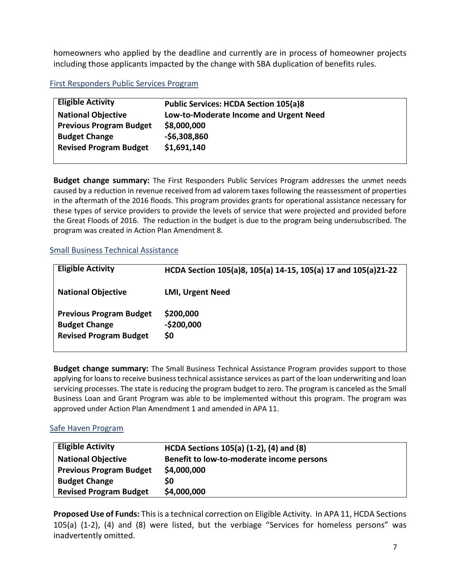homeowners who applied by the deadline and currently are in process of homeowner projects including those applicants impacted by the change with SBA duplication of benefits rules.

### First Responders Public Services Program

| <b>Eligible Activity</b>       | <b>Public Services: HCDA Section 105(a)8</b> |
|--------------------------------|----------------------------------------------|
| <b>National Objective</b>      | Low-to-Moderate Income and Urgent Need       |
| <b>Previous Program Budget</b> | \$8,000,000                                  |
| <b>Budget Change</b>           | $-$6,308,860$                                |
| <b>Revised Program Budget</b>  | \$1,691,140                                  |
|                                |                                              |

**Budget change summary:** The First Responders Public Services Program addresses the unmet needs caused by a reduction in revenue received from ad valorem taxes following the reassessment of properties in the aftermath of the 2016 floods. This program provides grants for operational assistance necessary for these types of service providers to provide the levels of service that were projected and provided before the Great Floods of 2016. The reduction in the budget is due to the program being undersubscribed. The program was created in Action Plan Amendment 8.

### Small Business Technical Assistance

| <b>Eligible Activity</b>                                                                | HCDA Section 105(a)8, 105(a) 14-15, 105(a) 17 and 105(a)21-22 |
|-----------------------------------------------------------------------------------------|---------------------------------------------------------------|
| <b>National Objective</b>                                                               | <b>LMI, Urgent Need</b>                                       |
| <b>Previous Program Budget</b><br><b>Budget Change</b><br><b>Revised Program Budget</b> | \$200,000<br>$-$200,000$<br>\$0                               |

**Budget change summary:** The Small Business Technical Assistance Program provides support to those applying for loans to receive business technical assistance services as part of the loan underwriting and loan servicing processes. The state is reducing the program budget to zero. The program is canceled asthe Small Business Loan and Grant Program was able to be implemented without this program. The program was approved under Action Plan Amendment 1 and amended in APA 11.

## Safe Haven Program

| <b>Eligible Activity</b>       | HCDA Sections 105(a) (1-2), (4) and (8)   |
|--------------------------------|-------------------------------------------|
| <b>National Objective</b>      | Benefit to low-to-moderate income persons |
| <b>Previous Program Budget</b> | \$4,000,000                               |
| <b>Budget Change</b>           | S0                                        |
| <b>Revised Program Budget</b>  | \$4,000,000                               |

**Proposed Use of Funds:** This is a technical correction on Eligible Activity. In APA 11, HCDA Sections 105(a) (1-2), (4) and (8) were listed, but the verbiage "Services for homeless persons" was inadvertently omitted.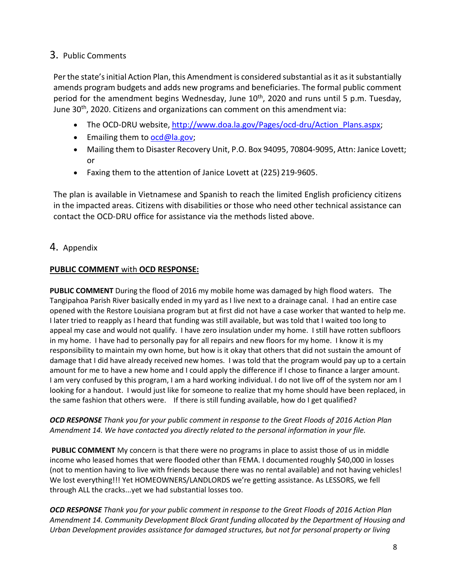# 3. Public Comments

Per the state's initial Action Plan, this Amendment is considered substantial as it as it substantially amends program budgets and adds new programs and beneficiaries. The formal public comment period for the amendment begins Wednesday, June 10<sup>th</sup>, 2020 and runs until 5 p.m. Tuesday, June 30<sup>th</sup>, 2020. Citizens and organizations can comment on this amendment via:

- The OCD-DRU website, [http://www.doa.la.gov/Pages/ocd-dru/Action\\_Plans.aspx;](http://www.doa.la.gov/Pages/ocd-dru/Action_Plans.aspx%3B)
- Emailing them to [ocd@la.gov;](mailto:ocd@la.gov)
- Mailing them to Disaster Recovery Unit, P.O. Box 94095, 70804-9095, Attn: Janice Lovett; or
- Faxing them to the attention of Janice Lovett at (225) 219-9605.

The plan is available in Vietnamese and Spanish to reach the limited English proficiency citizens in the impacted areas. Citizens with disabilities or those who need other technical assistance can contact the OCD-DRU office for assistance via the methods listed above.

## 4. Appendix

## **PUBLIC COMMENT** with **OCD RESPONSE:**

**PUBLIC COMMENT** During the flood of 2016 my mobile home was damaged by high flood waters. The Tangipahoa Parish River basically ended in my yard as I live next to a drainage canal. I had an entire case opened with the Restore Louisiana program but at first did not have a case worker that wanted to help me. I later tried to reapply as I heard that funding was still available, but was told that I waited too long to appeal my case and would not qualify. I have zero insulation under my home. I still have rotten subfloors in my home. I have had to personally pay for all repairs and new floors for my home. I know it is my responsibility to maintain my own home, but how is it okay that others that did not sustain the amount of damage that I did have already received new homes. I was told that the program would pay up to a certain amount for me to have a new home and I could apply the difference if I chose to finance a larger amount. I am very confused by this program, I am a hard working individual. I do not live off of the system nor am I looking for a handout. I would just like for someone to realize that my home should have been replaced, in the same fashion that others were. If there is still funding available, how do I get qualified?

*OCD RESPONSE Thank you for your public comment in response to the Great Floods of 2016 Action Plan Amendment 14. We have contacted you directly related to the personal information in your file.*

**PUBLIC COMMENT** My concern is that there were no programs in place to assist those of us in middle income who leased homes that were flooded other than FEMA. I documented roughly \$40,000 in losses (not to mention having to live with friends because there was no rental available) and not having vehicles! We lost everything!!! Yet HOMEOWNERS/LANDLORDS we're getting assistance. As LESSORS, we fell through ALL the cracks...yet we had substantial losses too.

*OCD RESPONSE Thank you for your public comment in response to the Great Floods of 2016 Action Plan Amendment 14. Community Development Block Grant funding allocated by the Department of Housing and Urban Development provides assistance for damaged structures, but not for personal property or living*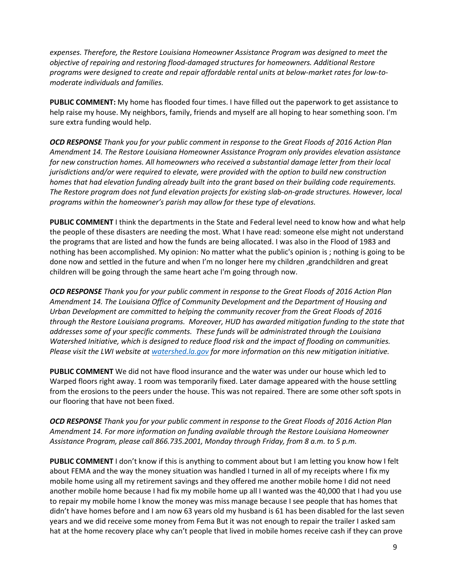*expenses. Therefore, the Restore Louisiana Homeowner Assistance Program was designed to meet the objective of repairing and restoring flood-damaged structures for homeowners. Additional Restore programs were designed to create and repair affordable rental units at below-market rates for low-tomoderate individuals and families.* 

**PUBLIC COMMENT:** My home has flooded four times. I have filled out the paperwork to get assistance to help raise my house. My neighbors, family, friends and myself are all hoping to hear something soon. I'm sure extra funding would help.

*OCD RESPONSE Thank you for your public comment in response to the Great Floods of 2016 Action Plan Amendment 14. The Restore Louisiana Homeowner Assistance Program only provides elevation assistance for new construction homes. All homeowners who received a substantial damage letter from their local jurisdictions and/or were required to elevate, were provided with the option to build new construction homes that had elevation funding already built into the grant based on their building code requirements. The Restore program does not fund elevation projects for existing slab-on-grade structures. However, local programs within the homeowner's parish may allow for these type of elevations.* 

**PUBLIC COMMENT** I think the departments in the State and Federal level need to know how and what help the people of these disasters are needing the most. What I have read: someone else might not understand the programs that are listed and how the funds are being allocated. I was also in the Flood of 1983 and nothing has been accomplished. My opinion: No matter what the public's opinion is ; nothing is going to be done now and settled in the future and when I'm no longer here my children ,grandchildren and great children will be going through the same heart ache I'm going through now.

*OCD RESPONSE Thank you for your public comment in response to the Great Floods of 2016 Action Plan Amendment 14. The Louisiana Office of Community Development and the Department of Housing and Urban Development are committed to helping the community recover from the Great Floods of 2016 through the Restore Louisiana programs. Moreover, HUD has awarded mitigation funding to the state that addresses some of your specific comments. These funds will be administrated through the Louisiana Watershed Initiative, which is designed to reduce flood risk and the impact of flooding on communities. Please visit the LWI website at [watershed.la.gov](http://www.watershed.la.gov/) for more information on this new mitigation initiative.* 

**PUBLIC COMMENT** We did not have flood insurance and the water was under our house which led to Warped floors right away. 1 room was temporarily fixed. Later damage appeared with the house settling from the erosions to the peers under the house. This was not repaired. There are some other soft spots in our flooring that have not been fixed.

*OCD RESPONSE Thank you for your public comment in response to the Great Floods of 2016 Action Plan Amendment 14. For more information on funding available through the Restore Louisiana Homeowner Assistance Program, please call 866.735.2001, Monday through Friday, from 8 a.m. to 5 p.m.*

**PUBLIC COMMENT** I don't know if this is anything to comment about but I am letting you know how I felt about FEMA and the way the money situation was handled I turned in all of my receipts where I fix my mobile home using all my retirement savings and they offered me another mobile home I did not need another mobile home because I had fix my mobile home up all I wanted was the 40,000 that I had you use to repair my mobile home I know the money was miss manage because I see people that has homes that didn't have homes before and I am now 63 years old my husband is 61 has been disabled for the last seven years and we did receive some money from Fema But it was not enough to repair the trailer I asked sam hat at the home recovery place why can't people that lived in mobile homes receive cash if they can prove